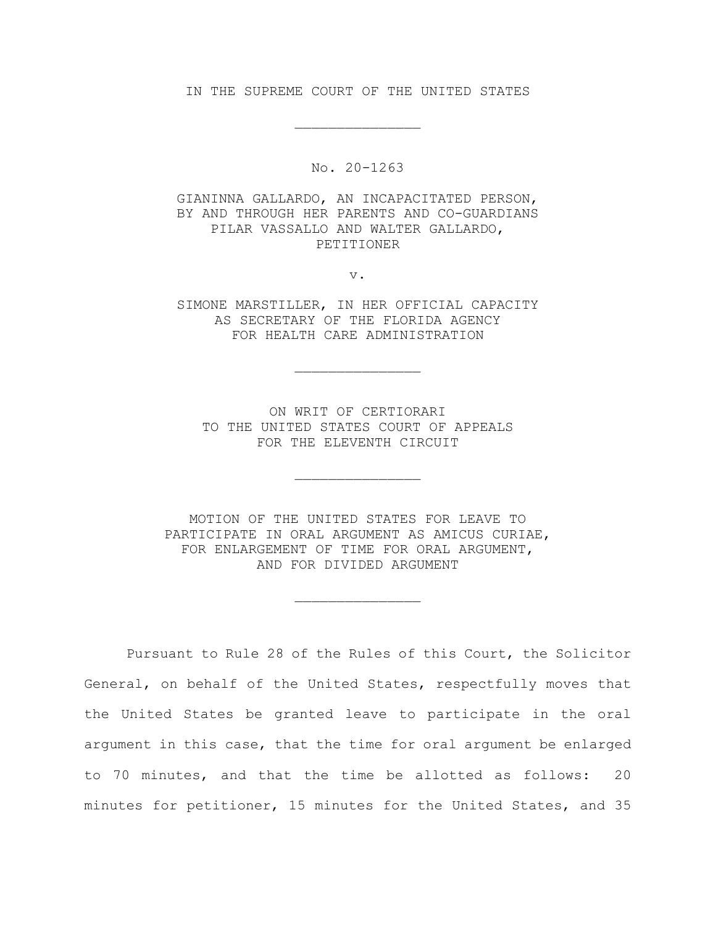IN THE SUPREME COURT OF THE UNITED STATES

\_\_\_\_\_\_\_\_\_\_\_\_\_\_\_

No. 20-1263

GIANINNA GALLARDO, AN INCAPACITATED PERSON, BY AND THROUGH HER PARENTS AND CO-GUARDIANS PILAR VASSALLO AND WALTER GALLARDO, PETITIONER

v.

SIMONE MARSTILLER, IN HER OFFICIAL CAPACITY AS SECRETARY OF THE FLORIDA AGENCY FOR HEALTH CARE ADMINISTRATION

\_\_\_\_\_\_\_\_\_\_\_\_\_\_\_

ON WRIT OF CERTIORARI TO THE UNITED STATES COURT OF APPEALS FOR THE ELEVENTH CIRCUIT

\_\_\_\_\_\_\_\_\_\_\_\_\_\_\_

MOTION OF THE UNITED STATES FOR LEAVE TO PARTICIPATE IN ORAL ARGUMENT AS AMICUS CURIAE, FOR ENLARGEMENT OF TIME FOR ORAL ARGUMENT, AND FOR DIVIDED ARGUMENT

\_\_\_\_\_\_\_\_\_\_\_\_\_\_\_

Pursuant to Rule 28 of the Rules of this Court, the Solicitor General, on behalf of the United States, respectfully moves that the United States be granted leave to participate in the oral argument in this case, that the time for oral argument be enlarged to 70 minutes, and that the time be allotted as follows: 20 minutes for petitioner, 15 minutes for the United States, and 35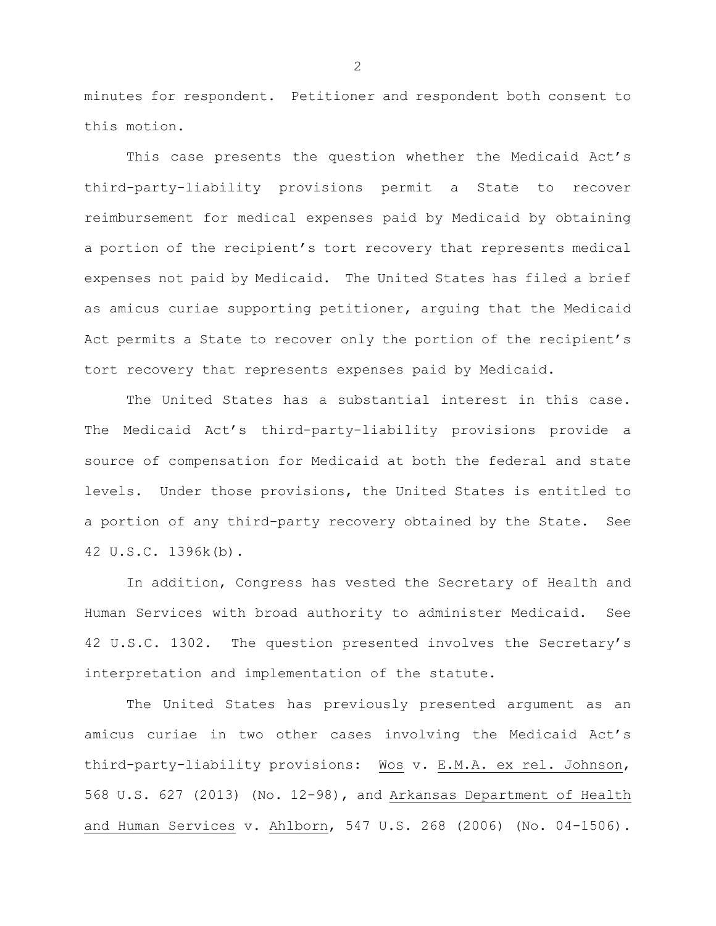minutes for respondent. Petitioner and respondent both consent to this motion.

This case presents the question whether the Medicaid Act's third-party-liability provisions permit a State to recover reimbursement for medical expenses paid by Medicaid by obtaining a portion of the recipient's tort recovery that represents medical expenses not paid by Medicaid. The United States has filed a brief as amicus curiae supporting petitioner, arguing that the Medicaid Act permits a State to recover only the portion of the recipient's tort recovery that represents expenses paid by Medicaid.

The United States has a substantial interest in this case. The Medicaid Act's third-party-liability provisions provide a source of compensation for Medicaid at both the federal and state levels. Under those provisions, the United States is entitled to a portion of any third-party recovery obtained by the State. See 42 U.S.C. 1396k(b).

In addition, Congress has vested the Secretary of Health and Human Services with broad authority to administer Medicaid. See 42 U.S.C. 1302. The question presented involves the Secretary's interpretation and implementation of the statute.

The United States has previously presented argument as an amicus curiae in two other cases involving the Medicaid Act's third-party-liability provisions: Wos v. E.M.A. ex rel. Johnson, 568 U.S. 627 (2013) (No. 12-98), and Arkansas Department of Health and Human Services v. Ahlborn, 547 U.S. 268 (2006) (No. 04-1506).

 $\mathcal{P}$